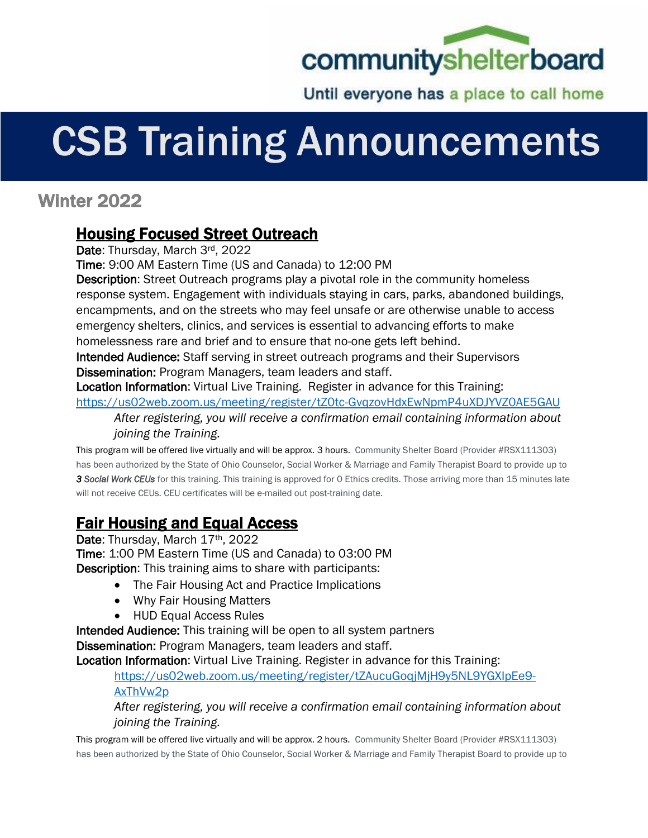

Until everyone has a place to call home

## CSB Training Announcements

## Winter 2022

## Housing Focused Street Outreach

Date: Thursday, March 3rd, 2022

Time: 9:00 AM Eastern Time (US and Canada) to 12:00 PM

Description: Street Outreach programs play a pivotal role in the community homeless response system. Engagement with individuals staying in cars, parks, abandoned buildings, encampments, and on the streets who may feel unsafe or are otherwise unable to access emergency shelters, clinics, and services is essential to advancing efforts to make homelessness rare and brief and to ensure that no-one gets left behind.

Intended Audience: Staff serving in street outreach programs and their Supervisors Dissemination: Program Managers, team leaders and staff.

Location Information: Virtual Live Training. Register in advance for this Training: <https://us02web.zoom.us/meeting/register/tZ0tc-GvqzovHdxEwNpmP4uXDJYVZ0AE5GAU>

*After registering, you will receive a confirmation email containing information about joining the Training.*

This program will be offered live virtually and will be approx. 3 hours. Community Shelter Board (Provider #RSX111303) has been authorized by the State of Ohio Counselor, Social Worker & Marriage and Family Therapist Board to provide up to *3 Social Work CEUs* for this training. This training is approved for 0 Ethics credits. Those arriving more than 15 minutes late will not receive CEUs. CEU certificates will be e-mailed out post-training date.

## Fair Housing and Equal Access

Date: Thursday, March 17th, 2022 Time: 1:00 PM Eastern Time (US and Canada) to 03:00 PM Description: This training aims to share with participants:

- The Fair Housing Act and Practice Implications
- Why Fair Housing Matters
- HUD Equal Access Rules

Intended Audience: This training will be open to all system partners

Dissemination: Program Managers, team leaders and staff.

Location Information: Virtual Live Training. Register in advance for this Training:

[https://us02web.zoom.us/meeting/register/tZAucuGoqjMjH9y5NL9YGXIpEe9-](https://us02web.zoom.us/meeting/register/tZAucuGoqjMjH9y5NL9YGXIpEe9-AxThVw2p)

[AxThVw2p](https://us02web.zoom.us/meeting/register/tZAucuGoqjMjH9y5NL9YGXIpEe9-AxThVw2p)

*After registering, you will receive a confirmation email containing information about joining the Training.*

This program will be offered live virtually and will be approx. 2 hours. Community Shelter Board (Provider #RSX111303) has been authorized by the State of Ohio Counselor, Social Worker & Marriage and Family Therapist Board to provide up to